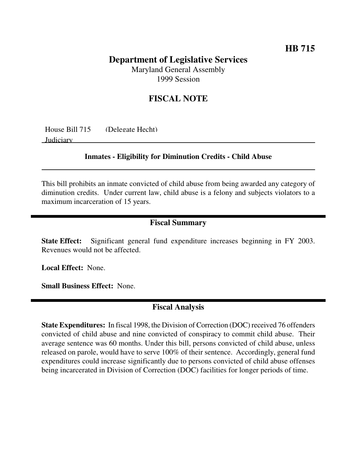## **HB 715**

# **Department of Legislative Services**

Maryland General Assembly 1999 Session

### **FISCAL NOTE**

| House Bill 715 | (Delegate Hecht) |
|----------------|------------------|
| Judiciary      |                  |

#### **Inmates - Eligibility for Diminution Credits - Child Abuse**

This bill prohibits an inmate convicted of child abuse from being awarded any category of diminution credits. Under current law, child abuse is a felony and subjects violators to a maximum incarceration of 15 years.

#### **Fiscal Summary**

**State Effect:** Significant general fund expenditure increases beginning in FY 2003. Revenues would not be affected.

**Local Effect:** None.

**Small Business Effect:** None.

#### **Fiscal Analysis**

**State Expenditures:** In fiscal 1998, the Division of Correction (DOC) received 76 offenders convicted of child abuse and nine convicted of conspiracy to commit child abuse. Their average sentence was 60 months. Under this bill, persons convicted of child abuse, unless released on parole, would have to serve 100% of their sentence. Accordingly, general fund expenditures could increase significantly due to persons convicted of child abuse offenses being incarcerated in Division of Correction (DOC) facilities for longer periods of time.